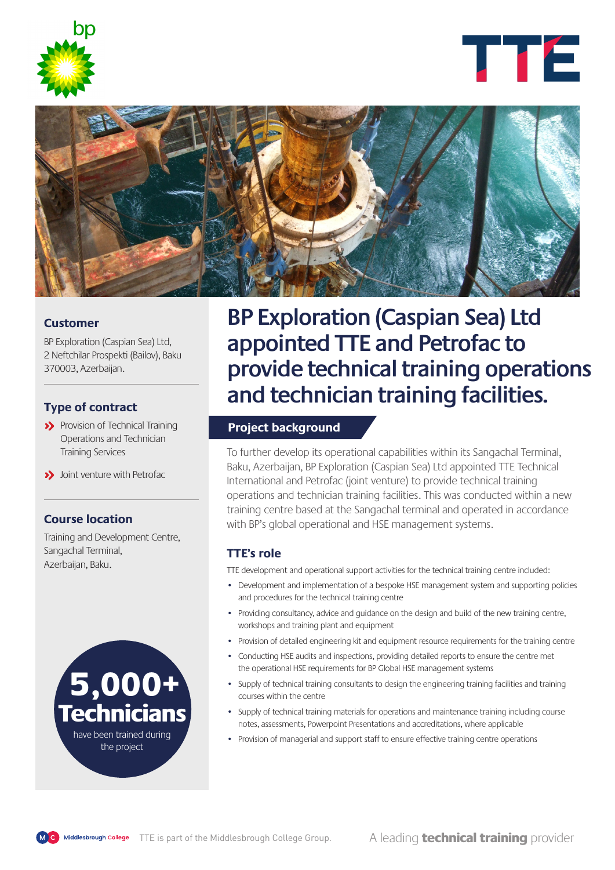





### **Customer**

BP Exploration (Caspian Sea) Ltd, 2 Neftchilar Prospekti (Bailov), Baku 370003, Azerbaijan.

## **Type of contract**

>> Provision of Technical Training Operations and Technician Training Services

>> Joint venture with Petrofac

## **Course location**

Training and Development Centre, Sangachal Terminal, Azerbaijan, Baku.



**BP Exploration (Caspian Sea) Ltd appointed TTE and Petrofac to provide technical training operations and technician training facilities.**

## **Project background**

To further develop its operational capabilities within its Sangachal Terminal, Baku, Azerbaijan, BP Exploration (Caspian Sea) Ltd appointed TTE Technical International and Petrofac (joint venture) to provide technical training operations and technician training facilities. This was conducted within a new training centre based at the Sangachal terminal and operated in accordance with BP's global operational and HSE management systems.

#### **TTE's role**

TTE development and operational support activities for the technical training centre included:

- Development and implementation of a bespoke HSE management system and supporting policies and procedures for the technical training centre
- Providing consultancy, advice and guidance on the design and build of the new training centre, workshops and training plant and equipment
- Provision of detailed engineering kit and equipment resource requirements for the training centre
- Conducting HSE audits and inspections, providing detailed reports to ensure the centre met the operational HSE requirements for BP Global HSE management systems
- Supply of technical training consultants to design the engineering training facilities and training courses within the centre
- Supply of technical training materials for operations and maintenance training including course notes, assessments, Powerpoint Presentations and accreditations, where applicable
- have been trained during <br>
Provision of managerial and support staff to ensure effective training centre operations